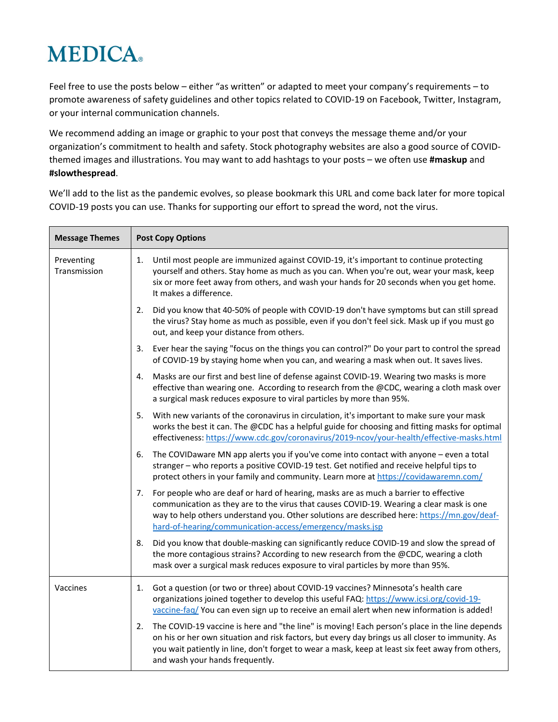## **MEDICA**

Feel free to use the posts below – either "as written" or adapted to meet your company's requirements – to promote awareness of safety guidelines and other topics related to COVID-19 on Facebook, Twitter, Instagram, or your internal communication channels.

We recommend adding an image or graphic to your post that conveys the message theme and/or your organization's commitment to health and safety. Stock photography websites are also a good source of COVIDthemed images and illustrations. You may want to add hashtags to your posts – we often use **#maskup** and **#slowthespread**.

We'll add to the list as the pandemic evolves, so please bookmark this URL and come back later for more topical COVID-19 posts you can use. Thanks for supporting our effort to spread the word, not the virus.

| <b>Message Themes</b>      | <b>Post Copy Options</b>                                                                                                                                                                                                                                                                                                                          |  |  |
|----------------------------|---------------------------------------------------------------------------------------------------------------------------------------------------------------------------------------------------------------------------------------------------------------------------------------------------------------------------------------------------|--|--|
| Preventing<br>Transmission | 1.<br>Until most people are immunized against COVID-19, it's important to continue protecting<br>yourself and others. Stay home as much as you can. When you're out, wear your mask, keep<br>six or more feet away from others, and wash your hands for 20 seconds when you get home.<br>It makes a difference.                                   |  |  |
|                            | Did you know that 40-50% of people with COVID-19 don't have symptoms but can still spread<br>2.<br>the virus? Stay home as much as possible, even if you don't feel sick. Mask up if you must go<br>out, and keep your distance from others.                                                                                                      |  |  |
|                            | Ever hear the saying "focus on the things you can control?" Do your part to control the spread<br>3.<br>of COVID-19 by staying home when you can, and wearing a mask when out. It saves lives.                                                                                                                                                    |  |  |
|                            | Masks are our first and best line of defense against COVID-19. Wearing two masks is more<br>4.<br>effective than wearing one. According to research from the @CDC, wearing a cloth mask over<br>a surgical mask reduces exposure to viral particles by more than 95%.                                                                             |  |  |
|                            | 5.<br>With new variants of the coronavirus in circulation, it's important to make sure your mask<br>works the best it can. The @CDC has a helpful guide for choosing and fitting masks for optimal<br>effectiveness: https://www.cdc.gov/coronavirus/2019-ncov/your-health/effective-masks.html                                                   |  |  |
|                            | The COVIDaware MN app alerts you if you've come into contact with anyone - even a total<br>6.<br>stranger - who reports a positive COVID-19 test. Get notified and receive helpful tips to<br>protect others in your family and community. Learn more at https://covidawaremn.com/                                                                |  |  |
|                            | For people who are deaf or hard of hearing, masks are as much a barrier to effective<br>7.<br>communication as they are to the virus that causes COVID-19. Wearing a clear mask is one<br>way to help others understand you. Other solutions are described here: https://mn.gov/deaf-<br>hard-of-hearing/communication-access/emergency/masks.jsp |  |  |
|                            | Did you know that double-masking can significantly reduce COVID-19 and slow the spread of<br>8.<br>the more contagious strains? According to new research from the @CDC, wearing a cloth<br>mask over a surgical mask reduces exposure to viral particles by more than 95%.                                                                       |  |  |
| Vaccines                   | Got a question (or two or three) about COVID-19 vaccines? Minnesota's health care<br>1.<br>organizations joined together to develop this useful FAQ: https://www.icsi.org/covid-19-<br>vaccine-faq/ You can even sign up to receive an email alert when new information is added!                                                                 |  |  |
|                            | The COVID-19 vaccine is here and "the line" is moving! Each person's place in the line depends<br>2.<br>on his or her own situation and risk factors, but every day brings us all closer to immunity. As<br>you wait patiently in line, don't forget to wear a mask, keep at least six feet away from others,<br>and wash your hands frequently.  |  |  |